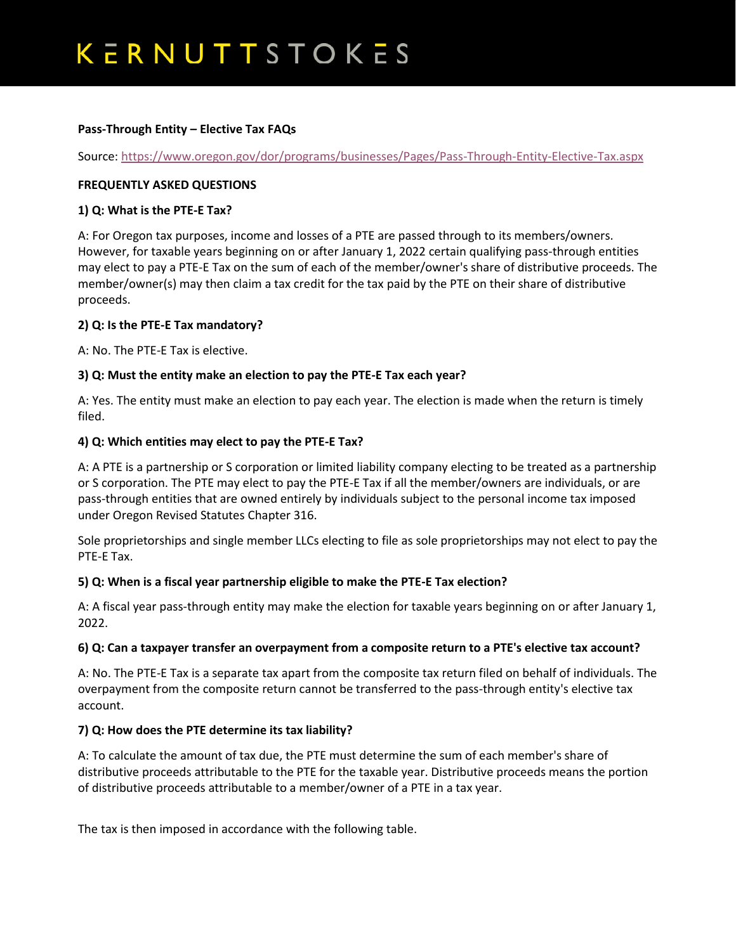## KERNUTTSTOKES

## **Pass-Through Entity – Elective Tax FAQs**

Source:<https://www.oregon.gov/dor/programs/businesses/Pages/Pass-Through-Entity-Elective-Tax.aspx>

## **FREQUENTLY ASKED QUESTIONS**

## **1) Q: What is the PTE-E Tax?**

A: For Oregon tax purposes, income and losses of a PTE are passed through to its members/owners. However, for taxable years beginning on or after January 1, 2022 certain qualifying pass-through entities may elect to pay a PTE-E Tax on the sum of each of the member/owner's share of distributive proceeds. The member/owner(s) may then claim a tax credit for the tax paid by the PTE on their share of distributive proceeds.

## **2) Q: Is the PTE-E Tax mandatory?**

A: No. The PTE-E Tax is elective.

## **3) Q: Must the entity make an election to pay the PTE-E Tax each year?**

A: Yes. The entity must make an election to pay each year. The election is made when the return is timely filed.

#### **4) Q: Which entities may elect to pay the PTE-E Tax?**

A: A PTE is a partnership or S corporation or limited liability company electing to be treated as a partnership or S corporation. The PTE may elect to pay the PTE-E Tax if all the member/owners are individuals, or are pass-through entities that are owned entirely by individuals subject to the personal income tax imposed under Oregon Revised Statutes Chapter 316.

Sole proprietorships and single member LLCs electing to file as sole proprietorships may not elect to pay the PTE-E Tax.

## **5) Q: When is a fiscal year partnership eligible to make the PTE-E Tax election?**

A: A fiscal year pass-through entity may make the election for taxable years beginning on or after January 1, 2022.

#### **6) Q: Can a taxpayer transfer an overpayment from a composite return to a PTE's elective tax account?**

A: No. The PTE-E Tax is a separate tax apart from the composite tax return filed on behalf of individuals. The overpayment from the composite return cannot be transferred to the pass-through entity's elective tax account.

## **7) Q: How does the PTE determine its tax liability?**

A: To calculate the amount of tax due, the PTE must determine the sum of each member's share of distributive proceeds attributable to the PTE for the taxable year. Distributive proceeds means the portion of distributive proceeds attributable to a member/owner of a PTE in a tax year.

The tax is then imposed in accordance with the following table.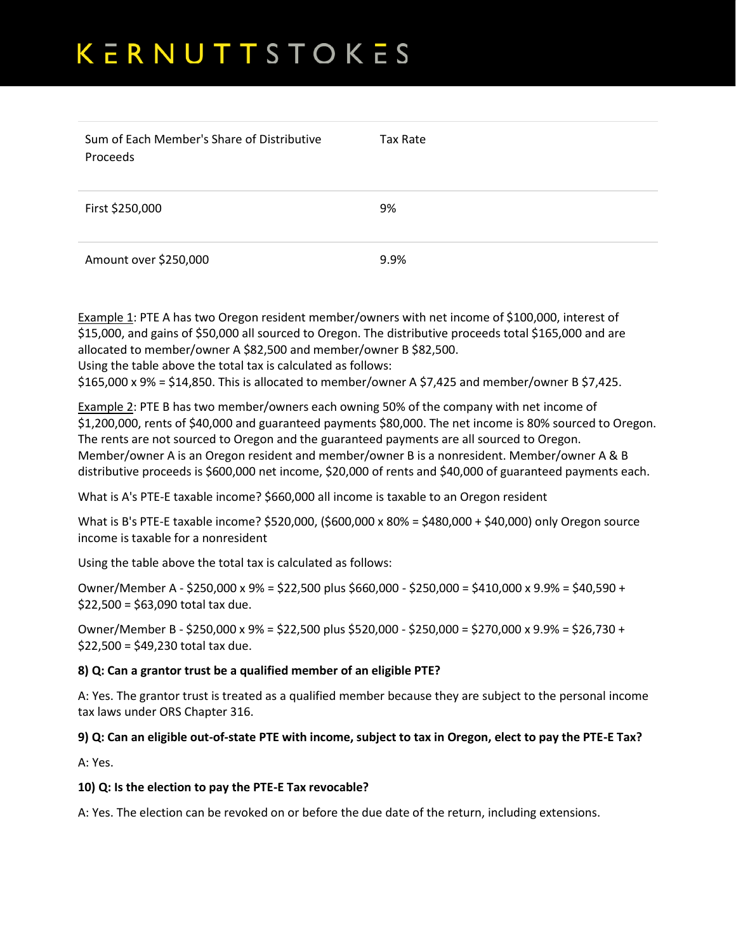# KERNUTTSTOKES

| Sum of Each Member's Share of Distributive<br>Proceeds | Tax Rate |
|--------------------------------------------------------|----------|
| First \$250,000                                        | 9%       |
| Amount over \$250,000                                  | 9.9%     |

Example 1: PTE A has two Oregon resident member/owners with net income of \$100,000, interest of \$15,000, and gains of \$50,000 all sourced to Oregon. The distributive proceeds total \$165,000 and are allocated to member/owner A \$82,500 and member/owner B \$82,500. Using the table above the total tax is calculated as follows:

\$165,000 x 9% = \$14,850. This is allocated to member/owner A \$7,425 and member/owner B \$7,425.

Example 2: PTE B has two member/owners each owning 50% of the company with net income of \$1,200,000, rents of \$40,000 and guaranteed payments \$80,000. The net income is 80% sourced to Oregon. The rents are not sourced to Oregon and the guaranteed payments are all sourced to Oregon. Member/owner A is an Oregon resident and member/owner B is a nonresident. Member/owner A & B distributive proceeds is \$600,000 net income, \$20,000 of rents and \$40,000 of guaranteed payments each.

What is A's PTE-E taxable income? \$660,000 all income is taxable to an Oregon resident

What is B's PTE-E taxable income? \$520,000, (\$600,000 x 80% = \$480,000 + \$40,000) only Oregon source income is taxable for a nonresident

Using the table above the total tax is calculated as follows:

Owner/Member A - \$250,000 x 9% = \$22,500 plus \$660,000 - \$250,000 = \$410,000 x 9.9% = \$40,590 + \$22,500 = \$63,090 total tax due.

Owner/Member B - \$250,000 x 9% = \$22,500 plus \$520,000 - \$250,000 = \$270,000 x 9.9% = \$26,730 +  $$22,500 = $49,230$  total tax due.

## **8) Q: Can a grantor trust be a qualified member of an eligible PTE?**

A: Yes. The grantor trust is treated as a qualified member because they are subject to the personal income tax laws under ORS Chapter 316.

## **9) Q: Can an eligible out-of-state PTE with income, subject to tax in Oregon, elect to pay the PTE-E Tax?**

A: Yes.

#### **10) Q: Is the election to pay the PTE-E Tax revocable?**

A: Yes. The election can be revoked on or before the due date of the return, including extensions.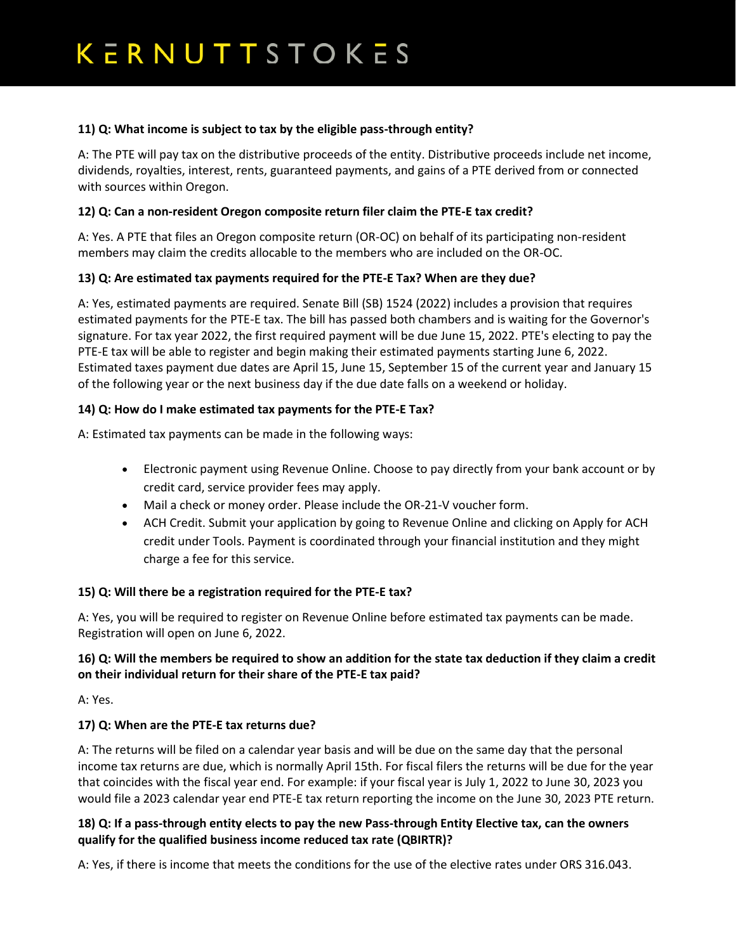## **11) Q: What income is subject to tax by the eligible pass-through entity?**

A: The PTE will pay tax on the distributive proceeds of the entity. Distributive proceeds include net income, dividends, royalties, interest, rents, guaranteed payments, and gains of a PTE derived from or connected with sources within Oregon.

## **12) Q: Can a non-resident Oregon composite return filer claim the PTE-E tax credit?**

A: Yes. A PTE that files an Oregon composite return (OR-OC) on behalf of its participating non-resident members may claim the credits allocable to the members who are included on the OR-OC.

## **13) Q: Are estimated tax payments required for the PTE-E Tax? When are they due?**

A: Yes, estimated payments are required. Senate Bill (SB) 1524 (2022) includes a provision that requires estimated payments for the PTE-E tax. The bill has passed both chambers and is waiting for the Governor's signature. For tax year 2022, the first required payment will be due June 15, 2022. PTE's electing to pay the PTE-E tax will be able to register and begin making their estimated payments starting June 6, 2022. Estimated taxes payment due dates are April 15, June 15, September 15 of the current year and January 15 of the following year or the next business day if the due date falls on a weekend or holiday.

## **14) Q: How do I make estimated tax payments for the PTE-E Tax?**

A: Estimated tax payments can be made in the following ways:

- Electronic payment using Revenue Online. Choose to pay directly from your bank account or by credit card, service provider fees may apply.
- Mail a check or money order. Please include the OR-21-V voucher form.
- ACH Credit. Submit your application by going to Revenue Online and clicking on Apply for ACH credit under Tools. Payment is coordinated through your financial institution and they might charge a fee for this service.

## **15) Q: Will there be a registration required for the PTE-E tax?**

A: Yes, you will be required to register on Revenue Online before estimated tax payments can be made. Registration will open on June 6, 2022.

## **16) Q: Will the members be required to show an addition for the state tax deduction if they claim a credit on their individual return for their share of the PTE-E tax paid?**

A: Yes.

## **17) Q: When are the PTE-E tax returns due?**

A: The returns will be filed on a calendar year basis and will be due on the same day that the personal income tax returns are due, which is normally April 15th. For fiscal filers the returns will be due for the year that coincides with the fiscal year end. For example: if your fiscal year is July 1, 2022 to June 30, 2023 you would file a 2023 calendar year end PTE-E tax return reporting the income on the June 30, 2023 PTE return.

## **18) Q: If a pass-through entity elects to pay the new Pass-through Entity Elective tax, can the owners qualify for the qualified business income reduced tax rate (QBIRTR)?**

A: Yes, if there is income that meets the conditions for the use of the elective rates under ORS 316.043.